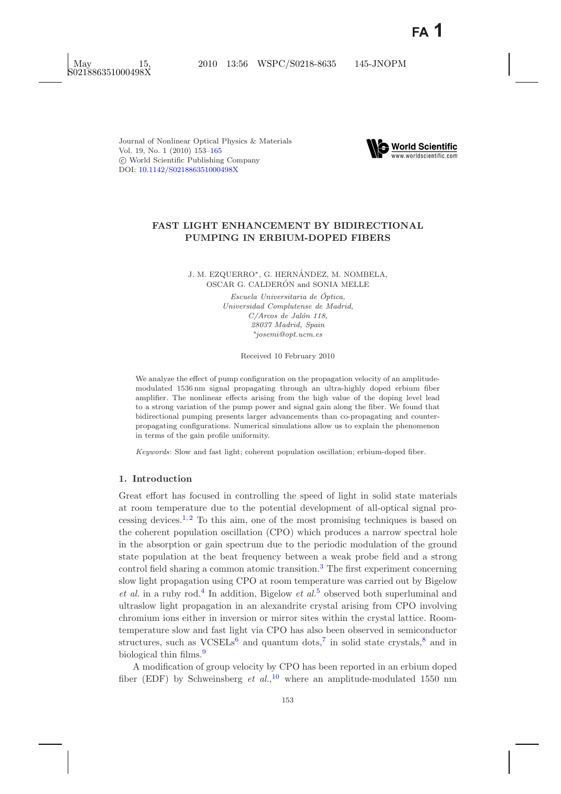

# **FAST LIGHT ENHANCEMENT BY BIDIRECTIONAL PUMPING IN ERBIUM-DOPED FIBERS**

J. M. EZQUERRO<sup>\*</sup>, G. HERNÁNDEZ, M. NOMBELA, OSCAR G. CALDERÓN and SONIA MELLE

> *Escuela Universitaria de Optica, ´ Universidad Complutense de Madrid, C/Arcos de Jal´on 118, 28037 Madrid, Spain* ∗*josemi@opt.ucm.es*

> > Received 10 February 2010

We analyze the effect of pump configuration on the propagation velocity of an amplitudemodulated 1536 nm signal propagating through an ultra-highly doped erbium fiber amplifier. The nonlinear effects arising from the high value of the doping level lead to a strong variation of the pump power and signal gain along the fiber. We found that bidirectional pumping presents larger advancements than co-propagating and counterpropagating configurations. Numerical simulations allow us to explain the phenomenon in terms of the gain profile uniformity.

*Keywords*: Slow and fast light; coherent population oscillation; erbium-doped fiber.

## **1. Introduction**

Great effort has focused in controlling the speed of light in solid state materials at room temperature due to the potential development of all-optical signal pro-cessing devices.<sup>[1,](#page-11-1) [2](#page-11-2)</sup> To this aim, one of the most promising techniques is based on the coherent population oscillation (CPO) which produces a narrow spectral hole in the absorption or gain spectrum due to the periodic modulation of the ground state population at the beat frequency between a weak probe field and a strong control field sharing a common atomic transition.[3](#page-11-3) The first experiment concerning slow light propagation using CPO at room temperature was carried out by Bigelow *et al.* in a ruby rod.[4](#page-11-4) In addition, Bigelow *et al.*[5](#page-11-5) observed both superluminal and ultraslow light propagation in an alexandrite crystal arising from CPO involving chromium ions either in inversion or mirror sites within the crystal lattice. Roomtemperature slow and fast light via CPO has also been observed in semiconductor structures, such as  $VCSEEs<sup>6</sup>$  $VCSEEs<sup>6</sup>$  $VCSEEs<sup>6</sup>$  and quantum dots,<sup>[7](#page-11-7)</sup> in solid state crystals,<sup>[8](#page-11-8)</sup> and in biological thin films.<sup>[9](#page-11-9)</sup>

A modification of group velocity by CPO has been reported in an erbium doped fiber (EDF) by Schweinsberg *et al.*, [10](#page-11-10) where an amplitude-modulated 1550 nm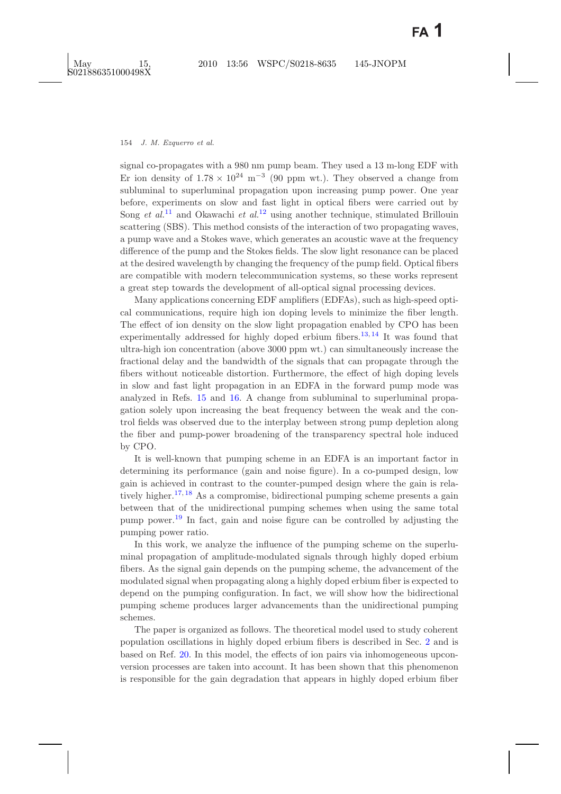signal co-propagates with a 980 nm pump beam. They used a 13 m-long EDF with Er ion density of  $1.78 \times 10^{24}$  m<sup>-3</sup> (90 ppm wt.). They observed a change from subluminal to superluminal propagation upon increasing pump power. One year before, experiments on slow and fast light in optical fibers were carried out by Song *et al.*<sup>[11](#page-11-11)</sup> and Okawachi *et al.*<sup>[12](#page-11-12)</sup> using another technique, stimulated Brillouin scattering (SBS). This method consists of the interaction of two propagating waves, a pump wave and a Stokes wave, which generates an acoustic wave at the frequency difference of the pump and the Stokes fields. The slow light resonance can be placed at the desired wavelength by changing the frequency of the pump field. Optical fibers are compatible with modern telecommunication systems, so these works represent a great step towards the development of all-optical signal processing devices.

Many applications concerning EDF amplifiers (EDFAs), such as high-speed optical communications, require high ion doping levels to minimize the fiber length. The effect of ion density on the slow light propagation enabled by CPO has been experimentally addressed for highly doped erbium fibers.<sup>[13,](#page-11-13) [14](#page-11-14)</sup> It was found that ultra-high ion concentration (above 3000 ppm wt.) can simultaneously increase the fractional delay and the bandwidth of the signals that can propagate through the fibers without noticeable distortion. Furthermore, the effect of high doping levels in slow and fast light propagation in an EDFA in the forward pump mode was analyzed in Refs. [15](#page-11-15) and [16.](#page-11-16) A change from subluminal to superluminal propagation solely upon increasing the beat frequency between the weak and the control fields was observed due to the interplay between strong pump depletion along the fiber and pump-power broadening of the transparency spectral hole induced by CPO.

It is well-known that pumping scheme in an EDFA is an important factor in determining its performance (gain and noise figure). In a co-pumped design, low gain is achieved in contrast to the counter-pumped design where the gain is rela-tively higher.<sup>[17,](#page-11-17) [18](#page-11-18)</sup> As a compromise, bidirectional pumping scheme presents a gain between that of the unidirectional pumping schemes when using the same total pump power.[19](#page-11-19) In fact, gain and noise figure can be controlled by adjusting the pumping power ratio.

In this work, we analyze the influence of the pumping scheme on the superluminal propagation of amplitude-modulated signals through highly doped erbium fibers. As the signal gain depends on the pumping scheme, the advancement of the modulated signal when propagating along a highly doped erbium fiber is expected to depend on the pumping configuration. In fact, we will show how the bidirectional pumping scheme produces larger advancements than the unidirectional pumping schemes.

The paper is organized as follows. The theoretical model used to study coherent population oscillations in highly doped erbium fibers is described in Sec. [2](#page-2-0) and is based on Ref. [20.](#page-11-20) In this model, the effects of ion pairs via inhomogeneous upconversion processes are taken into account. It has been shown that this phenomenon is responsible for the gain degradation that appears in highly doped erbium fiber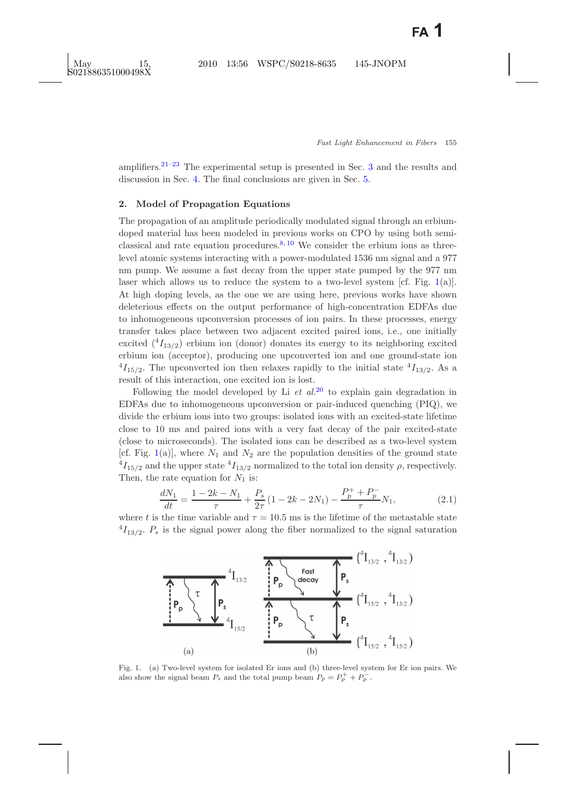amplifiers.<sup>[21](#page-12-0)[–23](#page-12-1)</sup> The experimental setup is presented in Sec. [3](#page-4-0) and the results and discussion in Sec. [4.](#page-5-0) The final conclusions are given in Sec. [5.](#page-10-0)

### <span id="page-2-0"></span>**2. Model of Propagation Equations**

The propagation of an amplitude periodically modulated signal through an erbiumdoped material has been modeled in previous works on CPO by using both semi-classical and rate equation procedures.<sup>[8,](#page-11-8) [10](#page-11-10)</sup> We consider the erbium ions as threelevel atomic systems interacting with a power-modulated 1536 nm signal and a 977 nm pump. We assume a fast decay from the upper state pumped by the 977 nm laser which allows us to reduce the system to a two-level system [cf. Fig. [1\(](#page-2-1)a)]. At high doping levels, as the one we are using here, previous works have shown deleterious effects on the output performance of high-concentration EDFAs due to inhomogeneous upconversion processes of ion pairs. In these processes, energy transfer takes place between two adjacent excited paired ions, i.e., one initially excited  $({}^{4}I_{13/2})$  erbium ion (donor) donates its energy to its neighboring excited erbium ion (acceptor), producing one upconverted ion and one ground-state ion  $^{4}I_{15/2}$ . The upconverted ion then relaxes rapidly to the initial state  $^{4}I_{13/2}$ . As a result of this interaction, one excited ion is lost.

Following the model developed by Li *et al.*[20](#page-11-21) to explain gain degradation in EDFAs due to inhomogeneous upconversion or pair-induced quenching (PIQ), we divide the erbium ions into two groups: isolated ions with an excited-state lifetime close to 10 ms and paired ions with a very fast decay of the pair excited-state (close to microseconds). The isolated ions can be described as a two-level system [cf. Fig. [1\(](#page-2-1)a)], where  $N_1$  and  $N_2$  are the population densities of the ground state  $^{4}I_{15/2}$  and the upper state  $^{4}I_{13/2}$  normalized to the total ion density  $\rho$ , respectively. Then, the rate equation for  $N_1$  is:

$$
\frac{dN_1}{dt} = \frac{1 - 2k - N_1}{\tau} + \frac{P_s}{2\tau} \left( 1 - 2k - 2N_1 \right) - \frac{P_p^+ + P_p^-}{\tau} N_1,\tag{2.1}
$$

<span id="page-2-3"></span>where t is the time variable and  $\tau = 10.5$  ms is the lifetime of the metastable state  $^{4}I_{13/2}$ .  $P_{s}$  is the signal power along the fiber normalized to the signal saturation



<span id="page-2-2"></span><span id="page-2-1"></span>Fig. 1. (a) Two-level system for isolated Er ions and (b) three-level system for Er ion pairs. We also show the signal beam  $P_s$  and the total pump beam  $P_p = P_p^+ + P_p^-$ .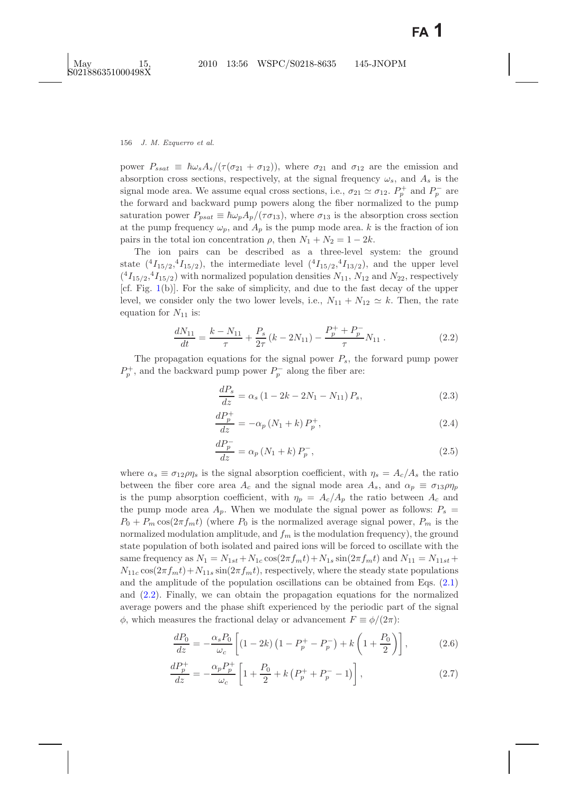power  $P_{ssat} \equiv \hbar \omega_s A_s/(\tau (\sigma_{21} + \sigma_{12}))$ , where  $\sigma_{21}$  and  $\sigma_{12}$  are the emission and absorption cross sections, respectively, at the signal frequency  $\omega_s$ , and  $A_s$  is the signal mode area. We assume equal cross sections, i.e.,  $\sigma_{21} \simeq \sigma_{12}$ .  $P_p^+$  and  $P_p^-$  are the forward and backward pump powers along the fiber normalized to the pump saturation power  $P_{psat} \equiv \hbar \omega_p A_p/(\tau \sigma_{13})$ , where  $\sigma_{13}$  is the absorption cross section at the pump frequency  $\omega_p$ , and  $A_p$  is the pump mode area. k is the fraction of ion pairs in the total ion concentration  $\rho$ , then  $N_1 + N_2 = 1 - 2k$ .

The ion pairs can be described as a three-level system: the ground state  $({}^{4}I_{15/2}, {}^{4}I_{15/2})$ , the intermediate level  $({}^{4}I_{15/2}, {}^{4}I_{13/2})$ , and the upper level  $({}^{4}I_{15/2}, {}^{4}I_{15/2})$  with normalized population densities  $N_{11}$ ,  $N_{12}$  and  $N_{22}$ , respectively [cf. Fig. [1\(](#page-2-2)b)]. For the sake of simplicity, and due to the fast decay of the upper level, we consider only the two lower levels, i.e.,  $N_{11} + N_{12} \simeq k$ . Then, the rate equation for  $N_{11}$  is:

$$
\frac{dN_{11}}{dt} = \frac{k - N_{11}}{\tau} + \frac{P_s}{2\tau} (k - 2N_{11}) - \frac{P_p^+ + P_p^-}{\tau} N_{11} . \tag{2.2}
$$

<span id="page-3-0"></span>The propagation equations for the signal power P*s*, the forward pump power  $P_p^+$ , and the backward pump power  $P_p^-$  along the fiber are:

$$
\frac{dP_s}{dz} = \alpha_s \left( 1 - 2k - 2N_1 - N_{11} \right) P_s,\tag{2.3}
$$

$$
\frac{dP_p^+}{dz} = -\alpha_p \left( N_1 + k \right) P_p^+, \tag{2.4}
$$

$$
\frac{dP_p^-}{dz} = \alpha_p \left( N_1 + k \right) P_p^-, \tag{2.5}
$$

where  $\alpha_s \equiv \sigma_{12}\rho\eta_s$  is the signal absorption coefficient, with  $\eta_s = A_c/A_s$  the ratio between the fiber core area  $A_c$  and the signal mode area  $A_s$ , and  $\alpha_p \equiv \sigma_{13}\rho\eta_p$ is the pump absorption coefficient, with  $\eta_p = A_c/A_p$  the ratio between  $A_c$  and the pump mode area  $A_p$ . When we modulate the signal power as follows:  $P_s$  $P_0 + P_m \cos(2\pi f_m t)$  (where  $P_0$  is the normalized average signal power,  $P_m$  is the normalized modulation amplitude, and  $f_m$  is the modulation frequency), the ground state population of both isolated and paired ions will be forced to oscillate with the same frequency as  $N_1 = N_{1st} + N_{1c} \cos(2\pi f_m t) + N_{1s} \sin(2\pi f_m t)$  and  $N_{11} = N_{11st} +$  $N_{11c} \cos(2\pi f_m t) + N_{11s} \sin(2\pi f_m t)$ , respectively, where the steady state populations and the amplitude of the population oscillations can be obtained from Eqs. [\(2.1\)](#page-2-3) and [\(2.2\)](#page-3-0). Finally, we can obtain the propagation equations for the normalized average powers and the phase shift experienced by the periodic part of the signal  $\phi$ , which measures the fractional delay or advancement  $F \equiv \phi/(2\pi)$ :

<span id="page-3-1"></span>
$$
\frac{dP_0}{dz} = -\frac{\alpha_s P_0}{\omega_c} \left[ (1 - 2k) \left( 1 - P_p^+ - P_p^- \right) + k \left( 1 + \frac{P_0}{2} \right) \right],\tag{2.6}
$$

$$
\frac{dP_p^+}{dz} = -\frac{\alpha_p P_p^+}{\omega_c} \left[ 1 + \frac{P_0}{2} + k \left( P_p^+ + P_p^- - 1 \right) \right],\tag{2.7}
$$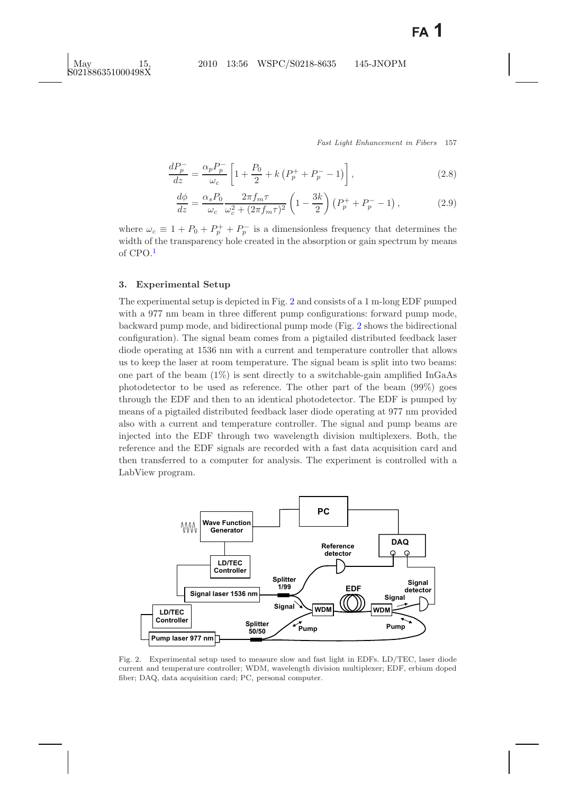$$
\frac{dP_p^-}{dz} = \frac{\alpha_p P_p^-}{\omega_c} \left[ 1 + \frac{P_0}{2} + k \left( P_p^+ + P_p^- - 1 \right) \right],\tag{2.8}
$$

$$
\frac{d\phi}{dz} = \frac{\alpha_s P_0}{\omega_c} \frac{2\pi f_m \tau}{\omega_c^2 + (2\pi f_m \tau)^2} \left(1 - \frac{3k}{2}\right) \left(P_p^+ + P_p^- - 1\right),\tag{2.9}
$$

where  $\omega_c \equiv 1 + P_0 + P_p^+ + P_p^-$  is a dimensionless frequency that determines the width of the transparency hole created in the absorption or gain spectrum by means of CPO.[1](#page-11-1)

#### <span id="page-4-0"></span>**3. Experimental Setup**

The experimental setup is depicted in Fig. [2](#page-4-1) and consists of a 1 m-long EDF pumped with a 977 nm beam in three different pump configurations: forward pump mode, backward pump mode, and bidirectional pump mode (Fig. [2](#page-4-1) shows the bidirectional configuration). The signal beam comes from a pigtailed distributed feedback laser diode operating at 1536 nm with a current and temperature controller that allows us to keep the laser at room temperature. The signal beam is split into two beams: one part of the beam  $(1\%)$  is sent directly to a switchable-gain amplified InGaAs photodetector to be used as reference. The other part of the beam (99%) goes through the EDF and then to an identical photodetector. The EDF is pumped by means of a pigtailed distributed feedback laser diode operating at 977 nm provided also with a current and temperature controller. The signal and pump beams are injected into the EDF through two wavelength division multiplexers. Both, the reference and the EDF signals are recorded with a fast data acquisition card and then transferred to a computer for analysis. The experiment is controlled with a LabView program.



<span id="page-4-1"></span>Fig. 2. Experimental setup used to measure slow and fast light in EDFs. LD/TEC, laser diode current and temperature controller; WDM, wavelength division multiplexer; EDF, erbium doped fiber; DAQ, data acquisition card; PC, personal computer.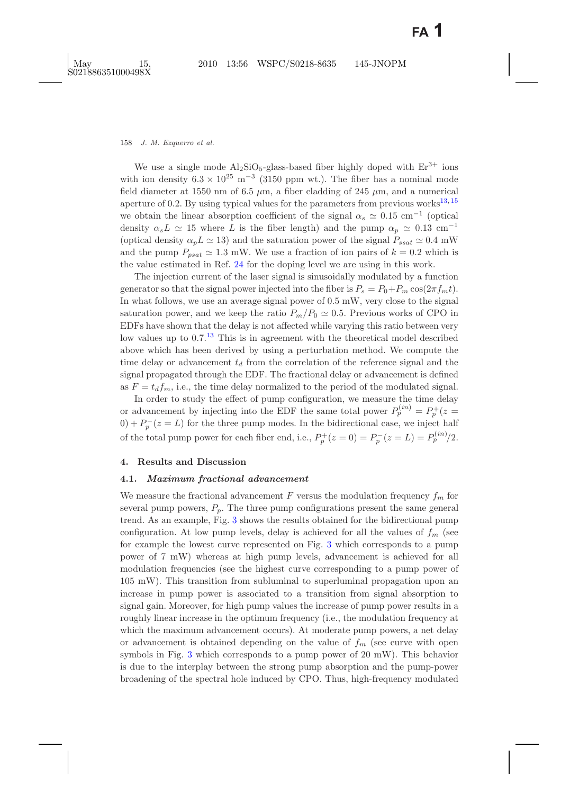We use a single mode  $Al_2SiO_5-glass-based$  fiber highly doped with  $Er^{3+}$  ions with ion density  $6.3 \times 10^{25}$  m<sup>-3</sup> (3150 ppm wt.). The fiber has a nominal mode field diameter at 1550 nm of 6.5  $\mu$ m, a fiber cladding of 245  $\mu$ m, and a numerical aperture of 0.2. By using typical values for the parameters from previous works<sup>[13,](#page-11-13) [15](#page-11-15)</sup> we obtain the linear absorption coefficient of the signal  $\alpha_s \simeq 0.15$  cm<sup>-1</sup> (optical) density  $\alpha_s L \simeq 15$  where L is the fiber length) and the pump  $\alpha_p \simeq 0.13$  cm<sup>-1</sup> (optical density  $\alpha_p L \simeq 13$ ) and the saturation power of the signal  $P_{ssat} \simeq 0.4$  mW and the pump  $P_{psat} \simeq 1.3$  mW. We use a fraction of ion pairs of  $k = 0.2$  which is the value estimated in Ref. [24](#page-12-2) for the doping level we are using in this work.

The injection current of the laser signal is sinusoidally modulated by a function generator so that the signal power injected into the fiber is  $P_s = P_0 + P_m \cos(2\pi f_m t)$ . In what follows, we use an average signal power of 0.5 mW, very close to the signal saturation power, and we keep the ratio  $P_m/P_0 \simeq 0.5$ . Previous works of CPO in EDFs have shown that the delay is not affected while varying this ratio between very low values up to  $0.7<sup>13</sup>$  $0.7<sup>13</sup>$  $0.7<sup>13</sup>$  This is in agreement with the theoretical model described above which has been derived by using a perturbation method. We compute the time delay or advancement  $t_d$  from the correlation of the reference signal and the signal propagated through the EDF. The fractional delay or advancement is defined as  $F = t_d f_m$ , i.e., the time delay normalized to the period of the modulated signal.

In order to study the effect of pump configuration, we measure the time delay or advancement by injecting into the EDF the same total power  $P_p^{(in)} = P_p^+(z)$  $0) + P_p^-(z = L)$  for the three pump modes. In the bidirectional case, we inject half of the total pump power for each fiber end, i.e.,  $P_p^+(z=0) = P_p^-(z=L) = P_p^{(in)}/2$ .

## <span id="page-5-0"></span>**4. Results and Discussion**

#### **4.1.** *Maximum fractional advancement*

We measure the fractional advancement  $F$  versus the modulation frequency  $f_m$  for several pump powers,  $P_p$ . The three pump configurations present the same general trend. As an example, Fig. [3](#page-6-0) shows the results obtained for the bidirectional pump configuration. At low pump levels, delay is achieved for all the values of  $f_m$  (see for example the lowest curve represented on Fig. [3](#page-6-0) which corresponds to a pump power of 7 mW) whereas at high pump levels, advancement is achieved for all modulation frequencies (see the highest curve corresponding to a pump power of 105 mW). This transition from subluminal to superluminal propagation upon an increase in pump power is associated to a transition from signal absorption to signal gain. Moreover, for high pump values the increase of pump power results in a roughly linear increase in the optimum frequency (i.e., the modulation frequency at which the maximum advancement occurs). At moderate pump powers, a net delay or advancement is obtained depending on the value of  $f_m$  (see curve with open symbols in Fig. [3](#page-6-0) which corresponds to a pump power of 20 mW). This behavior is due to the interplay between the strong pump absorption and the pump-power broadening of the spectral hole induced by CPO. Thus, high-frequency modulated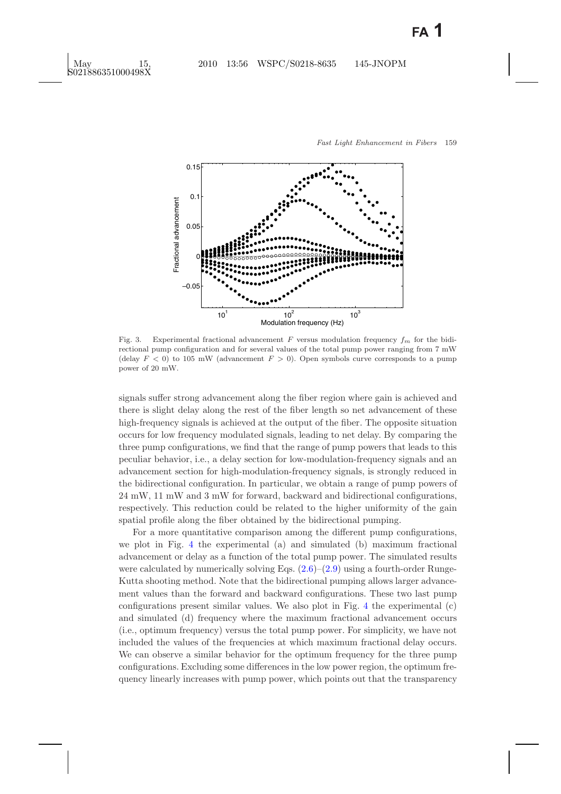

<span id="page-6-0"></span>Fig. 3. Experimental fractional advancement  $F$  versus modulation frequency  $f_m$  for the bidirectional pump configuration and for several values of the total pump power ranging from 7 mW (delay  $F < 0$ ) to 105 mW (advancement  $F > 0$ ). Open symbols curve corresponds to a pump power of 20 mW.

signals suffer strong advancement along the fiber region where gain is achieved and there is slight delay along the rest of the fiber length so net advancement of these high-frequency signals is achieved at the output of the fiber. The opposite situation occurs for low frequency modulated signals, leading to net delay. By comparing the three pump configurations, we find that the range of pump powers that leads to this peculiar behavior, i.e., a delay section for low-modulation-frequency signals and an advancement section for high-modulation-frequency signals, is strongly reduced in the bidirectional configuration. In particular, we obtain a range of pump powers of 24 mW, 11 mW and 3 mW for forward, backward and bidirectional configurations, respectively. This reduction could be related to the higher uniformity of the gain spatial profile along the fiber obtained by the bidirectional pumping.

For a more quantitative comparison among the different pump configurations, we plot in Fig. [4](#page-7-0) the experimental (a) and simulated (b) maximum fractional advancement or delay as a function of the total pump power. The simulated results were calculated by numerically solving Eqs.  $(2.6)$ – $(2.9)$  using a fourth-order Runge-Kutta shooting method. Note that the bidirectional pumping allows larger advancement values than the forward and backward configurations. These two last pump configurations present similar values. We also plot in Fig. [4](#page-7-0) the experimental (c) and simulated (d) frequency where the maximum fractional advancement occurs (i.e., optimum frequency) versus the total pump power. For simplicity, we have not included the values of the frequencies at which maximum fractional delay occurs. We can observe a similar behavior for the optimum frequency for the three pump configurations. Excluding some differences in the low power region, the optimum frequency linearly increases with pump power, which points out that the transparency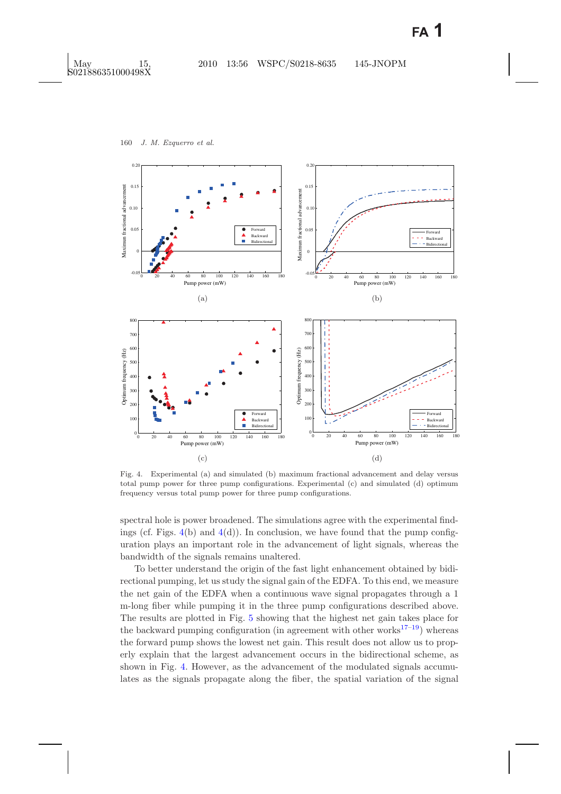

<span id="page-7-1"></span><span id="page-7-0"></span>Fig. 4. Experimental (a) and simulated (b) maximum fractional advancement and delay versus total pump power for three pump configurations. Experimental (c) and simulated (d) optimum frequency versus total pump power for three pump configurations.

spectral hole is power broadened. The simulations agree with the experimental findings (cf. Figs.  $4(b)$  $4(b)$  and  $4(d)$ ). In conclusion, we have found that the pump configuration plays an important role in the advancement of light signals, whereas the bandwidth of the signals remains unaltered.

To better understand the origin of the fast light enhancement obtained by bidirectional pumping, let us study the signal gain of the EDFA. To this end, we measure the net gain of the EDFA when a continuous wave signal propagates through a 1 m-long fiber while pumping it in the three pump configurations described above. The results are plotted in Fig. [5](#page-8-0) showing that the highest net gain takes place for the backward pumping configuration (in agreement with other works $17-19$  $17-19$ ) whereas the forward pump shows the lowest net gain. This result does not allow us to properly explain that the largest advancement occurs in the bidirectional scheme, as shown in Fig. [4.](#page-7-1) However, as the advancement of the modulated signals accumulates as the signals propagate along the fiber, the spatial variation of the signal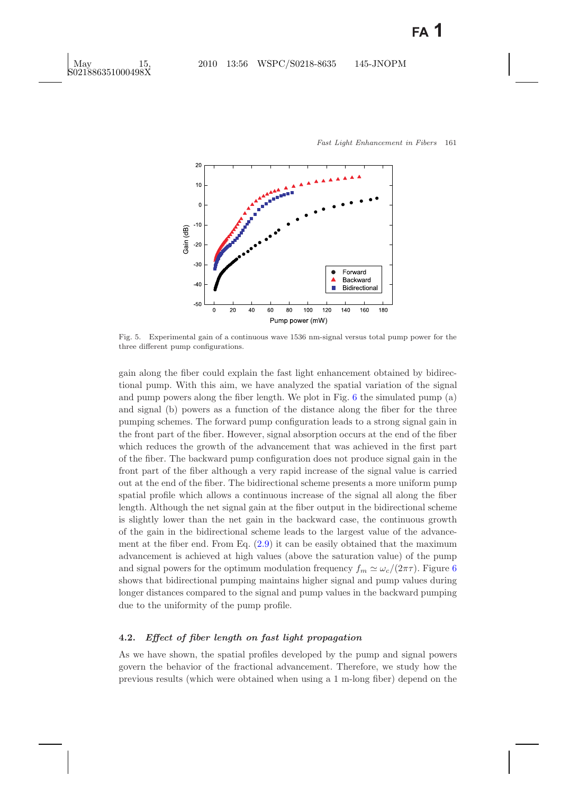

<span id="page-8-0"></span>Fig. 5. Experimental gain of a continuous wave 1536 nm-signal versus total pump power for the three different pump configurations.

gain along the fiber could explain the fast light enhancement obtained by bidirectional pump. With this aim, we have analyzed the spatial variation of the signal and pump powers along the fiber length. We plot in Fig. [6](#page-9-0) the simulated pump (a) and signal (b) powers as a function of the distance along the fiber for the three pumping schemes. The forward pump configuration leads to a strong signal gain in the front part of the fiber. However, signal absorption occurs at the end of the fiber which reduces the growth of the advancement that was achieved in the first part of the fiber. The backward pump configuration does not produce signal gain in the front part of the fiber although a very rapid increase of the signal value is carried out at the end of the fiber. The bidirectional scheme presents a more uniform pump spatial profile which allows a continuous increase of the signal all along the fiber length. Although the net signal gain at the fiber output in the bidirectional scheme is slightly lower than the net gain in the backward case, the continuous growth of the gain in the bidirectional scheme leads to the largest value of the advancement at the fiber end. From Eq.  $(2.9)$  it can be easily obtained that the maximum advancement is achieved at high values (above the saturation value) of the pump and signal powers for the optimum modulation frequency  $f_m \simeq \omega_c/(2\pi\tau)$ . Figure [6](#page-9-0) shows that bidirectional pumping maintains higher signal and pump values during longer distances compared to the signal and pump values in the backward pumping due to the uniformity of the pump profile.

### **4.2.** *Effect of fiber length on fast light propagation*

As we have shown, the spatial profiles developed by the pump and signal powers govern the behavior of the fractional advancement. Therefore, we study how the previous results (which were obtained when using a 1 m-long fiber) depend on the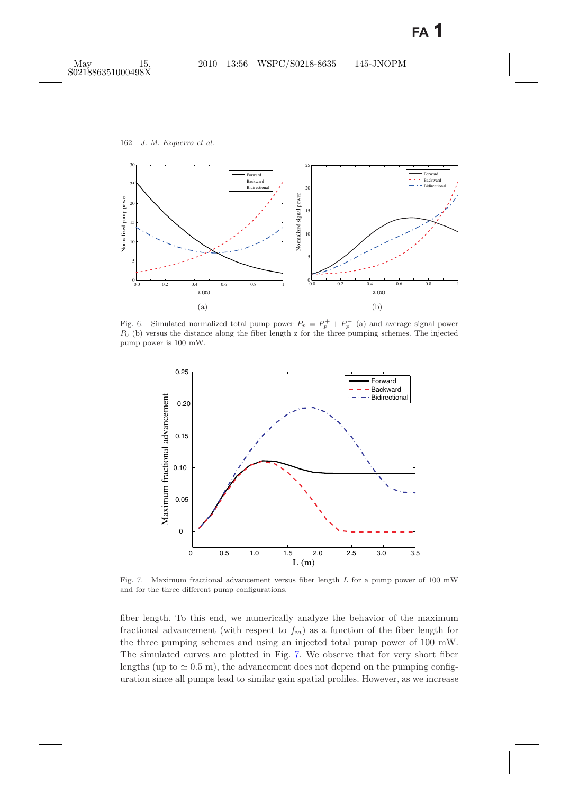

<span id="page-9-0"></span>Fig. 6. Simulated normalized total pump power  $P_p = P_p^+ + P_p^-$  (a) and average signal power *P*<sup>0</sup> (b) versus the distance along the fiber length z for the three pumping schemes. The injected pump power is 100 mW.



<span id="page-9-2"></span><span id="page-9-1"></span>Fig. 7. Maximum fractional advancement versus fiber length *L* for a pump power of 100 mW and for the three different pump configurations.

fiber length. To this end, we numerically analyze the behavior of the maximum fractional advancement (with respect to  $f_m$ ) as a function of the fiber length for the three pumping schemes and using an injected total pump power of 100 mW. The simulated curves are plotted in Fig. [7.](#page-9-1) We observe that for very short fiber lengths (up to  $\simeq 0.5$  m), the advancement does not depend on the pumping configuration since all pumps lead to similar gain spatial profiles. However, as we increase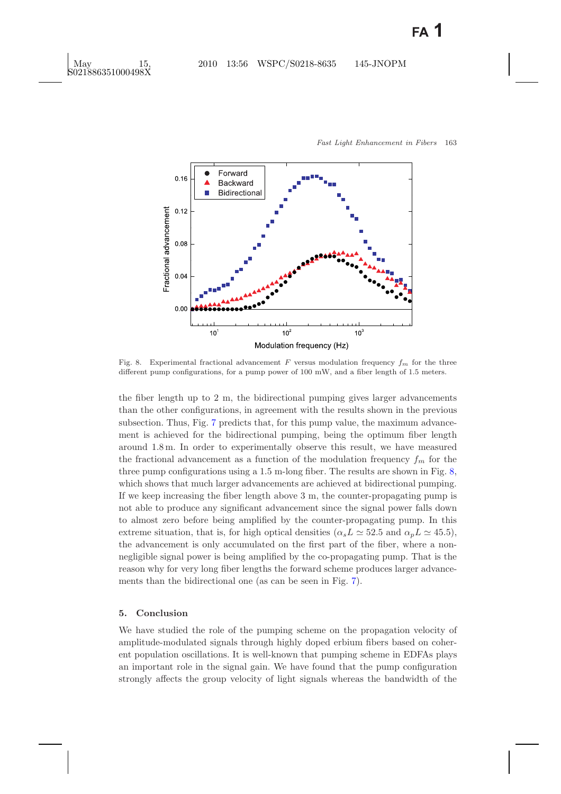

<span id="page-10-1"></span>Fig. 8. Experimental fractional advancement  $F$  versus modulation frequency  $f_m$  for the three different pump configurations, for a pump power of 100 mW, and a fiber length of 1.5 meters.

the fiber length up to 2 m, the bidirectional pumping gives larger advancements than the other configurations, in agreement with the results shown in the previous subsection. Thus, Fig. [7](#page-9-2) predicts that, for this pump value, the maximum advancement is achieved for the bidirectional pumping, being the optimum fiber length around 1.8 m. In order to experimentally observe this result, we have measured the fractional advancement as a function of the modulation frequency  $f_m$  for the three pump configurations using a 1.5 m-long fiber. The results are shown in Fig. [8,](#page-10-1) which shows that much larger advancements are achieved at bidirectional pumping. If we keep increasing the fiber length above 3 m, the counter-propagating pump is not able to produce any significant advancement since the signal power falls down to almost zero before being amplified by the counter-propagating pump. In this extreme situation, that is, for high optical densities  $(\alpha_s L \simeq 52.5$  and  $\alpha_p L \simeq 45.5)$ , the advancement is only accumulated on the first part of the fiber, where a nonnegligible signal power is being amplified by the co-propagating pump. That is the reason why for very long fiber lengths the forward scheme produces larger advancements than the bidirectional one (as can be seen in Fig. [7\)](#page-9-2).

#### <span id="page-10-0"></span>**5. Conclusion**

We have studied the role of the pumping scheme on the propagation velocity of amplitude-modulated signals through highly doped erbium fibers based on coherent population oscillations. It is well-known that pumping scheme in EDFAs plays an important role in the signal gain. We have found that the pump configuration strongly affects the group velocity of light signals whereas the bandwidth of the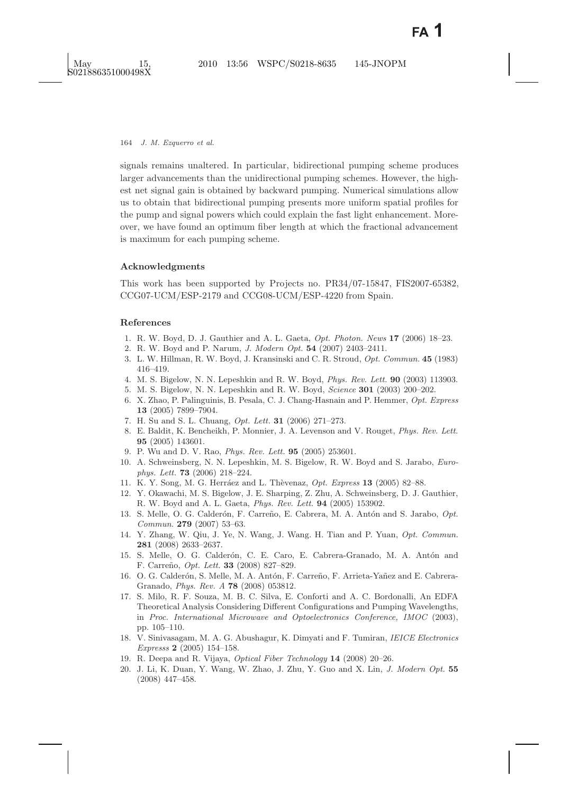signals remains unaltered. In particular, bidirectional pumping scheme produces larger advancements than the unidirectional pumping schemes. However, the highest net signal gain is obtained by backward pumping. Numerical simulations allow us to obtain that bidirectional pumping presents more uniform spatial profiles for the pump and signal powers which could explain the fast light enhancement. Moreover, we have found an optimum fiber length at which the fractional advancement is maximum for each pumping scheme.

## **Acknowledgments**

This work has been supported by Projects no. PR34/07-15847, FIS2007-65382, CCG07-UCM/ESP-2179 and CCG08-UCM/ESP-4220 from Spain.

## <span id="page-11-2"></span><span id="page-11-1"></span><span id="page-11-0"></span>**References**

- 1. R. W. Boyd, D. J. Gauthier and A. L. Gaeta, *Opt. Photon. News* **17** (2006) 18–23.
- <span id="page-11-3"></span>2. R. W. Boyd and P. Narum, *J. Modern Opt.* **54** (2007) 2403–2411.
- 3. L. W. Hillman, R. W. Boyd, J. Kransinski and C. R. Stroud, *Opt. Commun.* **45** (1983) 416–419.
- <span id="page-11-5"></span><span id="page-11-4"></span>4. M. S. Bigelow, N. N. Lepeshkin and R. W. Boyd, *Phys. Rev. Lett.* **90** (2003) 113903.
- <span id="page-11-6"></span>5. M. S. Bigelow, N. N. Lepeshkin and R. W. Boyd, *Science* **301** (2003) 200–202.
- 6. X. Zhao, P. Palinguinis, B. Pesala, C. J. Chang-Hasnain and P. Hemmer, *Opt. Express* **13** (2005) 7899–7904.
- <span id="page-11-8"></span><span id="page-11-7"></span>7. H. Su and S. L. Chuang, *Opt. Lett.* **31** (2006) 271–273.
- 8. E. Baldit, K. Bencheikh, P. Monnier, J. A. Levenson and V. Rouget, *Phys. Rev. Lett.* **95** (2005) 143601.
- 9. P. Wu and D. V. Rao, *Phys. Rev. Lett.* **95** (2005) 253601.
- <span id="page-11-10"></span><span id="page-11-9"></span>10. A. Schweinsberg, N. N. Lepeshkin, M. S. Bigelow, R. W. Boyd and S. Jarabo, *Europhys. Lett.* **73** (2006) 218–224.
- <span id="page-11-12"></span><span id="page-11-11"></span>11. K. Y. Song, M. G. Herr´aez and L. Th`evenaz, *Opt. Express* **13** (2005) 82–88.
- 12. Y. Okawachi, M. S. Bigelow, J. E. Sharping, Z. Zhu, A. Schweinsberg, D. J. Gauthier, R. W. Boyd and A. L. Gaeta, *Phys. Rev. Lett.* **94** (2005) 153902.
- <span id="page-11-13"></span>13. S. Melle, O. G. Calderón, F. Carreño, E. Cabrera, M. A. Antón and S. Jarabo,  $Opt.$ *Commun.* **279** (2007) 53–63.
- <span id="page-11-14"></span>14. Y. Zhang, W. Qiu, J. Ye, N. Wang, J. Wang. H. Tian and P. Yuan, *Opt. Commun.* **281** (2008) 2633–2637.
- <span id="page-11-15"></span>15. S. Melle, O. G. Calderón, C. E. Caro, E. Cabrera-Granado, M. A. Antón and F. Carre˜no, *Opt. Lett.* **33** (2008) 827–829.
- <span id="page-11-16"></span>16. O. G. Calderón, S. Melle, M. A. Antón, F. Carreño, F. Arrieta-Yañez and E. Cabrera-Granado, *Phys. Rev. A* **78** (2008) 053812.
- <span id="page-11-17"></span>17. S. Milo, R. F. Souza, M. B. C. Silva, E. Conforti and A. C. Bordonalli, An EDFA Theoretical Analysis Considering Different Configurations and Pumping Wavelengths, in *Proc. International Microwave and Optoelectronics Conference, IMOC* (2003), pp. 105–110.
- <span id="page-11-18"></span>18. V. Sinivasagam, M. A. G. Abushagur, K. Dimyati and F. Tumiran, *IEICE Electronics Expresss* **2** (2005) 154–158.
- <span id="page-11-21"></span><span id="page-11-20"></span><span id="page-11-19"></span>19. R. Deepa and R. Vijaya, *Optical Fiber Technology* **14** (2008) 20–26.
- 20. J. Li, K. Duan, Y. Wang, W. Zhao, J. Zhu, Y. Guo and X. Lin, *J. Modern Opt.* **55** (2008) 447–458.